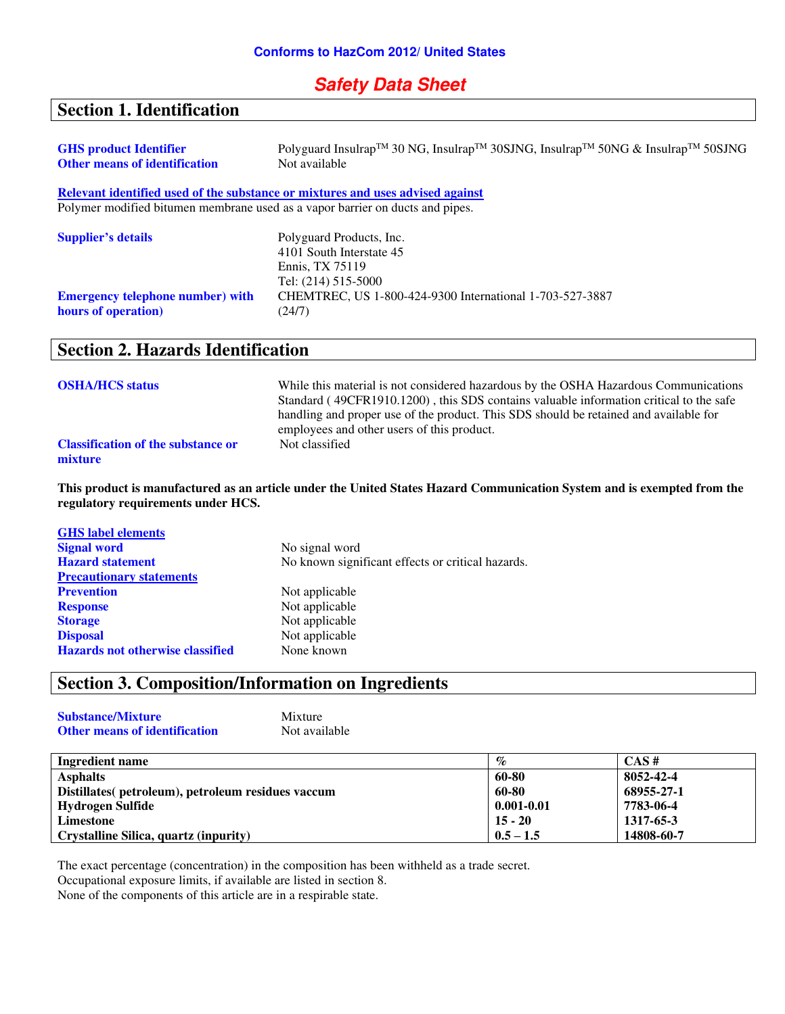# **Safety Data Sheet**

# **Section 1. Identification**

| <b>GHS</b> product Identifier<br><b>Other means of identification</b>         | Polyguard Insulrap <sup>TM</sup> 30 NG, Insulrap <sup>TM</sup> 30SJNG, Insulrap <sup>TM</sup> 50NG & Insulrap <sup>TM</sup> 50SJNG<br>Not available |
|-------------------------------------------------------------------------------|-----------------------------------------------------------------------------------------------------------------------------------------------------|
|                                                                               | Relevant identified used of the substance or mixtures and uses advised against                                                                      |
| Polymer modified bitumen membrane used as a vapor barrier on ducts and pipes. |                                                                                                                                                     |
| <b>Supplier's details</b>                                                     | Polyguard Products, Inc.                                                                                                                            |
|                                                                               | 4101 South Interstate 45                                                                                                                            |
|                                                                               | Ennis, TX 75119                                                                                                                                     |
|                                                                               | Tel: (214) 515-5000                                                                                                                                 |
| <b>Emergency telephone number)</b> with                                       | CHEMTREC, US 1-800-424-9300 International 1-703-527-3887                                                                                            |
| hours of operation)                                                           | (24/7)                                                                                                                                              |

# **Section 2. Hazards Identification**

| <b>OSHA/HCS status</b>                               | While this material is not considered hazardous by the OSHA Hazardous Communications<br>Standard (49CFR1910.1200), this SDS contains valuable information critical to the safe<br>handling and proper use of the product. This SDS should be retained and available for<br>employees and other users of this product. |
|------------------------------------------------------|-----------------------------------------------------------------------------------------------------------------------------------------------------------------------------------------------------------------------------------------------------------------------------------------------------------------------|
| <b>Classification of the substance or</b><br>mixture | Not classified                                                                                                                                                                                                                                                                                                        |

**This product is manufactured as an article under the United States Hazard Communication System and is exempted from the regulatory requirements under HCS.** 

| <b>GHS</b> label elements               |                                                   |
|-----------------------------------------|---------------------------------------------------|
| <b>Signal word</b>                      | No signal word                                    |
| <b>Hazard</b> statement                 | No known significant effects or critical hazards. |
| <b>Precautionary statements</b>         |                                                   |
| <b>Prevention</b>                       | Not applicable                                    |
| <b>Response</b>                         | Not applicable                                    |
| <b>Storage</b>                          | Not applicable                                    |
| <b>Disposal</b>                         | Not applicable                                    |
| <b>Hazards not otherwise classified</b> | None known                                        |

# **Section 3. Composition/Information on Ingredients**

| <b>Substance/Mixture</b>             | Mixture       |
|--------------------------------------|---------------|
| <b>Other means of identification</b> | Not available |

| <b>Ingredient name</b>                             | $\%$           | CAS#       |
|----------------------------------------------------|----------------|------------|
| <b>Asphalts</b>                                    | 60-80          | 8052-42-4  |
| Distillates (petroleum), petroleum residues vaccum | 60-80          | 68955-27-1 |
| Hydrogen Sulfide                                   | $0.001 - 0.01$ | 7783-06-4  |
| Limestone                                          | $15 - 20$      | 1317-65-3  |
| Crystalline Silica, quartz (inpurity)              | $0.5 - 1.5$    | 14808-60-7 |

The exact percentage (concentration) in the composition has been withheld as a trade secret.

Occupational exposure limits, if available are listed in section 8.

None of the components of this article are in a respirable state.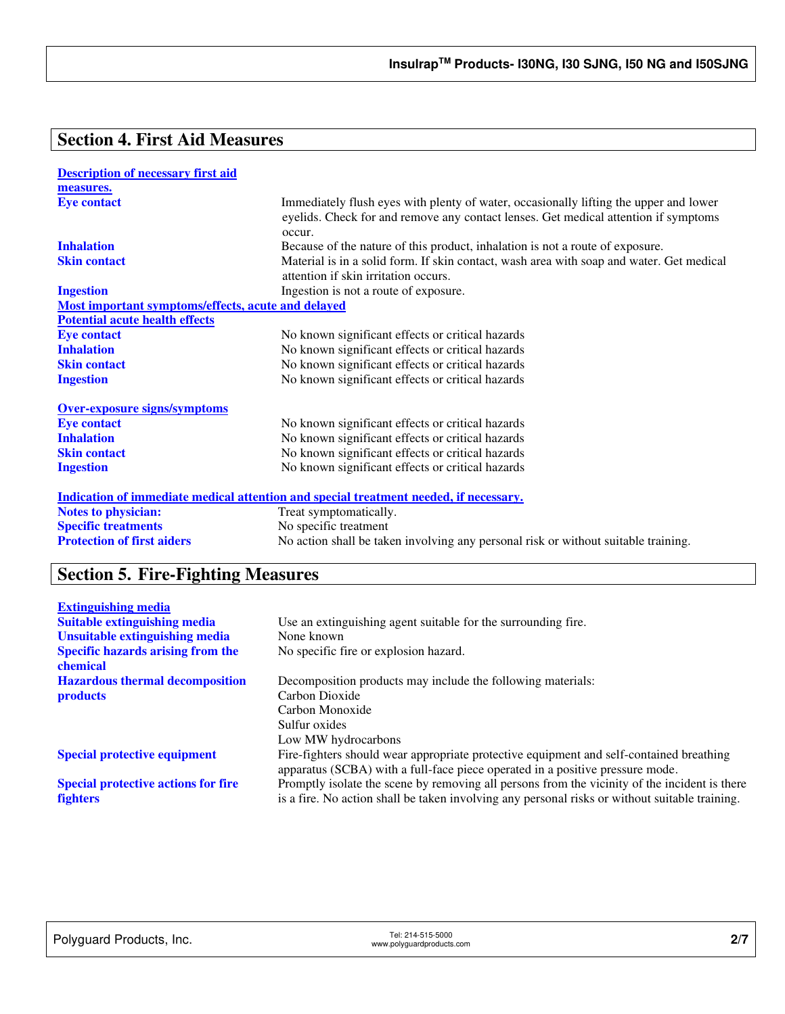# **Section 4. First Aid Measures**

| <b>Description of necessary first aid</b>          |                                                                                                                                                                                        |
|----------------------------------------------------|----------------------------------------------------------------------------------------------------------------------------------------------------------------------------------------|
| measures.                                          |                                                                                                                                                                                        |
| <b>Eye contact</b>                                 | Immediately flush eyes with plenty of water, occasionally lifting the upper and lower<br>eyelids. Check for and remove any contact lenses. Get medical attention if symptoms<br>occur. |
| <b>Inhalation</b>                                  | Because of the nature of this product, inhalation is not a route of exposure.                                                                                                          |
| <b>Skin contact</b>                                | Material is in a solid form. If skin contact, wash area with soap and water. Get medical<br>attention if skin irritation occurs.                                                       |
| <b>Ingestion</b>                                   | Ingestion is not a route of exposure.                                                                                                                                                  |
| Most important symptoms/effects, acute and delayed |                                                                                                                                                                                        |
| <b>Potential acute health effects</b>              |                                                                                                                                                                                        |
| <b>Eye contact</b>                                 | No known significant effects or critical hazards                                                                                                                                       |
| <b>Inhalation</b>                                  | No known significant effects or critical hazards                                                                                                                                       |
| <b>Skin contact</b>                                | No known significant effects or critical hazards                                                                                                                                       |
| <b>Ingestion</b>                                   | No known significant effects or critical hazards                                                                                                                                       |
| <b>Over-exposure signs/symptoms</b>                |                                                                                                                                                                                        |
| <b>Eye contact</b>                                 | No known significant effects or critical hazards                                                                                                                                       |
| <b>Inhalation</b>                                  | No known significant effects or critical hazards                                                                                                                                       |
| <b>Skin contact</b>                                | No known significant effects or critical hazards                                                                                                                                       |
| <b>Ingestion</b>                                   | No known significant effects or critical hazards                                                                                                                                       |
|                                                    | <b>Indication of immediate medical attention and special treatment needed, if necessary.</b>                                                                                           |
| <b>Notes to physician:</b>                         | Treat symptomatically.                                                                                                                                                                 |
| <b>Specific treatments</b>                         | No specific treatment                                                                                                                                                                  |
| <b>Protection of first aiders</b>                  | No action shall be taken involving any personal risk or without suitable training.                                                                                                     |

# **Section 5. Fire-Fighting Measures**

| <b>Extinguishing media</b>                           |                                                                                                |
|------------------------------------------------------|------------------------------------------------------------------------------------------------|
| <b>Suitable extinguishing media</b>                  | Use an extinguishing agent suitable for the surrounding fire.                                  |
| Unsuitable extinguishing media                       | None known                                                                                     |
| <b>Specific hazards arising from the</b><br>chemical | No specific fire or explosion hazard.                                                          |
| <b>Hazardous thermal decomposition</b>               | Decomposition products may include the following materials:                                    |
| <b>products</b>                                      | Carbon Dioxide                                                                                 |
|                                                      | Carbon Monoxide                                                                                |
|                                                      | Sulfur oxides                                                                                  |
|                                                      | Low MW hydrocarbons                                                                            |
| <b>Special protective equipment</b>                  | Fire-fighters should wear appropriate protective equipment and self-contained breathing        |
|                                                      | apparatus (SCBA) with a full-face piece operated in a positive pressure mode.                  |
| <b>Special protective actions for fire</b>           | Promptly isolate the scene by removing all persons from the vicinity of the incident is there  |
| <b>fighters</b>                                      | is a fire. No action shall be taken involving any personal risks or without suitable training. |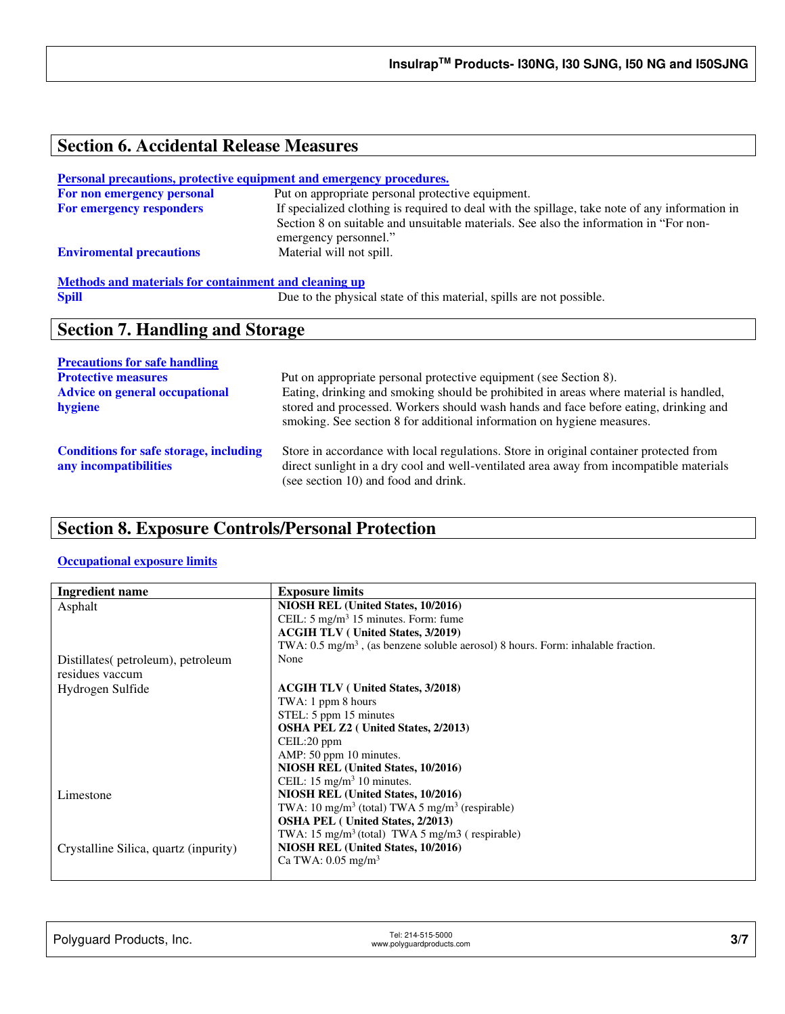# **Section 6. Accidental Release Measures**

#### **Personal precautions, protective equipment and emergency procedures.**

| Put on appropriate personal protective equipment.                                              |
|------------------------------------------------------------------------------------------------|
| If specialized clothing is required to deal with the spillage, take note of any information in |
| Section 8 on suitable and unsuitable materials. See also the information in "For non-          |
| emergency personnel."                                                                          |
| Material will not spill.                                                                       |
|                                                                                                |

# **Methods and materials for containment and cleaning up**<br> **Spill** Due to the physic

Due to the physical state of this material, spills are not possible.

# **Section 7. Handling and Storage**

| <b>Precautions for safe handling</b>                                   |                                                                                                                                                                                                                                                         |
|------------------------------------------------------------------------|---------------------------------------------------------------------------------------------------------------------------------------------------------------------------------------------------------------------------------------------------------|
| <b>Protective measures</b>                                             | Put on appropriate personal protective equipment (see Section 8).                                                                                                                                                                                       |
| <b>Advice on general occupational</b><br>hygiene                       | Eating, drinking and smoking should be prohibited in areas where material is handled,<br>stored and processed. Workers should wash hands and face before eating, drinking and<br>smoking. See section 8 for additional information on hygiene measures. |
| <b>Conditions for safe storage, including</b><br>any incompatibilities | Store in accordance with local regulations. Store in original container protected from<br>direct sunlight in a dry cool and well-ventilated area away from incompatible materials<br>(see section 10) and food and drink.                               |

# **Section 8. Exposure Controls/Personal Protection**

### **Occupational exposure limits**

| <b>Ingredient name</b>                | <b>Exposure limits</b>                                                                       |
|---------------------------------------|----------------------------------------------------------------------------------------------|
| Asphalt                               | NIOSH REL (United States, 10/2016)                                                           |
|                                       | CEIL: $5 \text{ mg/m}^3$ 15 minutes. Form: fume                                              |
|                                       | <b>ACGIH TLV</b> (United States, 3/2019)                                                     |
|                                       | TWA: 0.5 mg/m <sup>3</sup> , (as benzene soluble aerosol) 8 hours. Form: inhalable fraction. |
| Distillates(petroleum), petroleum     | None                                                                                         |
| residues vaccum                       |                                                                                              |
| Hydrogen Sulfide                      | <b>ACGIH TLV</b> (United States, 3/2018)                                                     |
|                                       | TWA: 1 ppm 8 hours                                                                           |
|                                       | STEL: 5 ppm 15 minutes                                                                       |
|                                       | <b>OSHA PEL Z2</b> ( United States, 2/2013)                                                  |
|                                       | CEIL:20 ppm                                                                                  |
|                                       | AMP: 50 ppm 10 minutes.                                                                      |
|                                       | NIOSH REL (United States, 10/2016)                                                           |
|                                       | CEIL: $15 \text{ mg/m}^3$ 10 minutes.                                                        |
| Limestone                             | NIOSH REL (United States, 10/2016)                                                           |
|                                       | TWA: 10 mg/m <sup>3</sup> (total) TWA 5 mg/m <sup>3</sup> (respirable)                       |
|                                       | <b>OSHA PEL</b> (United States, 2/2013)                                                      |
|                                       | TWA: 15 mg/m <sup>3</sup> (total) TWA 5 mg/m3 (respirable)                                   |
| Crystalline Silica, quartz (inpurity) | NIOSH REL (United States, 10/2016)                                                           |
|                                       | Ca TWA: $0.05$ mg/m <sup>3</sup>                                                             |
|                                       |                                                                                              |

| Polyguard Products, Inc. | Tel: 214-515-5000<br>www.polyguardproducts.com | 3/7 |
|--------------------------|------------------------------------------------|-----|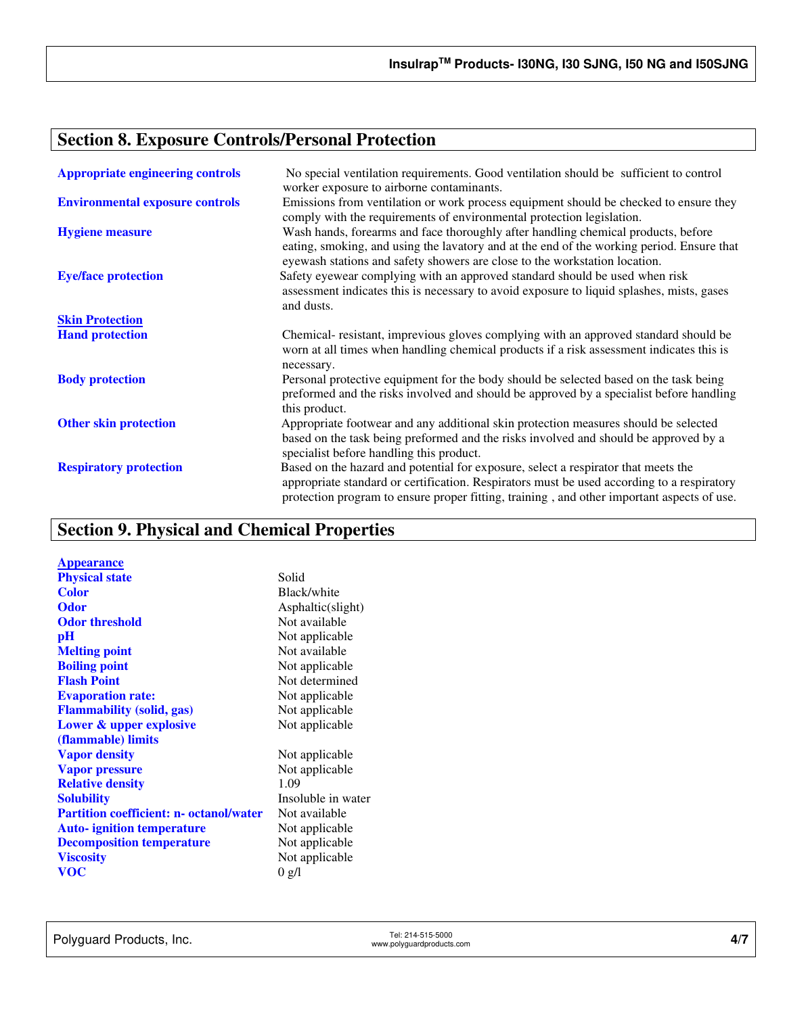# **Section 8. Exposure Controls/Personal Protection**

| <b>Appropriate engineering controls</b> | No special ventilation requirements. Good ventilation should be sufficient to control<br>worker exposure to airborne contaminants.                                                                                                                                             |
|-----------------------------------------|--------------------------------------------------------------------------------------------------------------------------------------------------------------------------------------------------------------------------------------------------------------------------------|
| <b>Environmental exposure controls</b>  | Emissions from ventilation or work process equipment should be checked to ensure they<br>comply with the requirements of environmental protection legislation.                                                                                                                 |
| <b>Hygiene measure</b>                  | Wash hands, forearms and face thoroughly after handling chemical products, before<br>eating, smoking, and using the lavatory and at the end of the working period. Ensure that<br>eyewash stations and safety showers are close to the workstation location.                   |
| <b>Eye/face protection</b>              | Safety eyewear complying with an approved standard should be used when risk<br>assessment indicates this is necessary to avoid exposure to liquid splashes, mists, gases<br>and dusts.                                                                                         |
| <b>Skin Protection</b>                  |                                                                                                                                                                                                                                                                                |
| <b>Hand protection</b>                  | Chemical-resistant, imprevious gloves complying with an approved standard should be<br>worn at all times when handling chemical products if a risk assessment indicates this is<br>necessary.                                                                                  |
| <b>Body protection</b>                  | Personal protective equipment for the body should be selected based on the task being<br>preformed and the risks involved and should be approved by a specialist before handling<br>this product.                                                                              |
| <b>Other skin protection</b>            | Appropriate footwear and any additional skin protection measures should be selected<br>based on the task being preformed and the risks involved and should be approved by a<br>specialist before handling this product.                                                        |
| <b>Respiratory protection</b>           | Based on the hazard and potential for exposure, select a respirator that meets the<br>appropriate standard or certification. Respirators must be used according to a respiratory<br>protection program to ensure proper fitting, training, and other important aspects of use. |

# **Section 9. Physical and Chemical Properties**

| <b>Appearance</b>                              |                    |
|------------------------------------------------|--------------------|
| <b>Physical state</b>                          | Solid              |
| <b>Color</b>                                   | Black/white        |
| <b>Odor</b>                                    | Asphaltic(slight)  |
| <b>Odor threshold</b>                          | Not available      |
| рH                                             | Not applicable     |
| <b>Melting point</b>                           | Not available      |
| <b>Boiling point</b>                           | Not applicable     |
| <b>Flash Point</b>                             | Not determined     |
| <b>Evaporation rate:</b>                       | Not applicable     |
| <b>Flammability (solid, gas)</b>               | Not applicable     |
| Lower & upper explosive                        | Not applicable     |
| (flammable) limits                             |                    |
| <b>Vapor density</b>                           | Not applicable     |
| <b>Vapor pressure</b>                          | Not applicable     |
| <b>Relative density</b>                        | 1.09               |
| <b>Solubility</b>                              | Insoluble in water |
| <b>Partition coefficient: n- octanol/water</b> | Not available      |
| <b>Auto-</b> ignition temperature              | Not applicable     |
| <b>Decomposition temperature</b>               | Not applicable     |
| <b>Viscosity</b>                               | Not applicable     |
| <b>VOC</b>                                     | 0 g/l              |
|                                                |                    |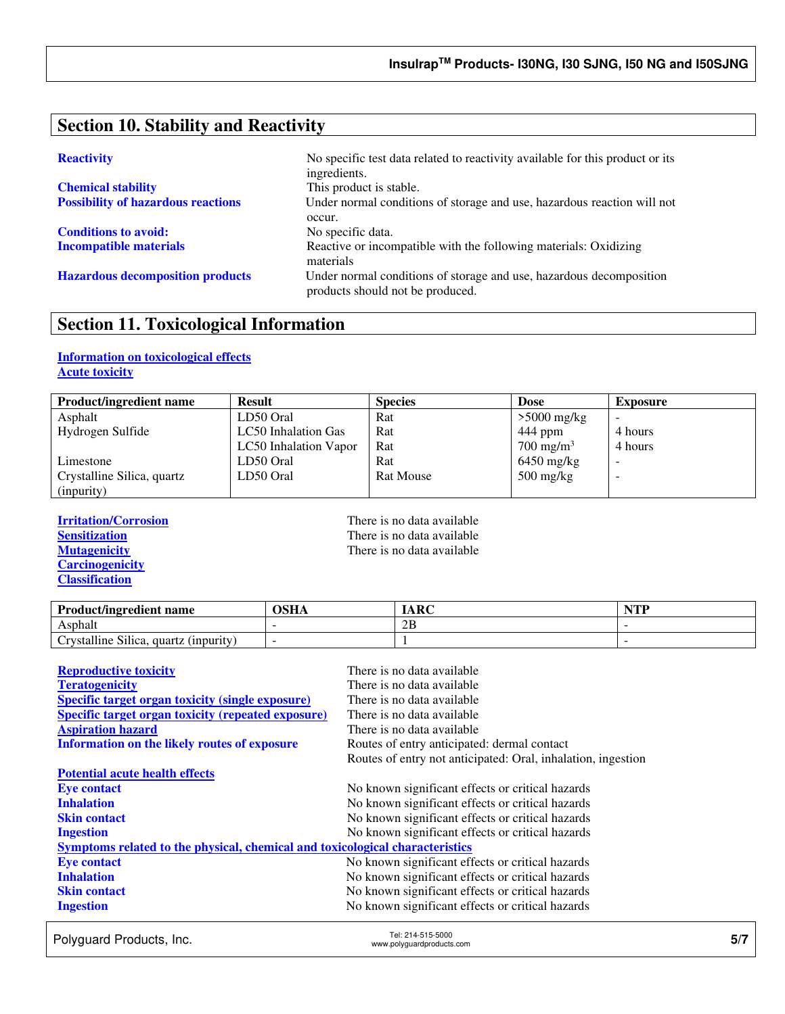# **Section 10. Stability and Reactivity**

**Chemical stability** This product is stable.

**Conditions to avoid:** No specific data.

**Reactivity No specific test data related to reactivity available for this product or its** ingredients. **Possibility of hazardous reactions** Under normal conditions of storage and use, hazardous reaction will not occur. **Incompatible materials Reactive or incompatible with the following materials: Oxidizing** materials **Hazardous decomposition products** Under normal conditions of storage and use, hazardous decomposition products should not be produced.

## **Section 11. Toxicological Information**

## **Information on toxicological effects Acute toxicity**

| <b>Product/ingredient name</b> | <b>Result</b>         | <b>Species</b>   | <b>Dose</b>                       | <b>Exposure</b> |
|--------------------------------|-----------------------|------------------|-----------------------------------|-----------------|
| Asphalt                        | LD50 Oral             | Rat              | $>5000$ mg/kg                     |                 |
| Hydrogen Sulfide               | LC50 Inhalation Gas   | Rat              | 444 ppm                           | 4 hours         |
|                                | LC50 Inhalation Vapor | Rat              | $700 \text{ mg/m}^3$              | 4 hours         |
| Limestone                      | LD50 Oral             | Rat              | $6450$ mg/kg                      |                 |
| Crystalline Silica, quartz     | LD50 Oral             | <b>Rat Mouse</b> | $500 \frac{\text{mg}}{\text{kg}}$ | -               |
| (inpurity)                     |                       |                  |                                   |                 |

**Carcinogenicity Classification** 

**Irritation/Corrosion**<br> **I** There is no data available<br> **Sensitization**<br> **There is no data available Sensitization**<br> **Nutagenicity**<br> **There is no data available**<br> **There is no data available** There is no data available

| <b>Product/ingredient name</b>        | <b>OSHA</b> | IARC | NTD |
|---------------------------------------|-------------|------|-----|
| Asphalt                               |             | 2B   |     |
| Crystalline Silica, quartz (inpurity) |             |      |     |

| <b>Reproductive toxicity</b>                                                 | There is no data available                                   |
|------------------------------------------------------------------------------|--------------------------------------------------------------|
| <b>Teratogenicity</b>                                                        | There is no data available                                   |
| <b>Specific target organ toxicity (single exposure)</b>                      | There is no data available                                   |
| <b>Specific target organ toxicity (repeated exposure)</b>                    | There is no data available                                   |
| <b>Aspiration hazard</b>                                                     | There is no data available                                   |
| <b>Information on the likely routes of exposure</b>                          | Routes of entry anticipated: dermal contact                  |
|                                                                              | Routes of entry not anticipated: Oral, inhalation, ingestion |
| <b>Potential acute health effects</b>                                        |                                                              |
| <b>Eye contact</b>                                                           | No known significant effects or critical hazards             |
| <b>Inhalation</b>                                                            | No known significant effects or critical hazards             |
| <b>Skin contact</b>                                                          | No known significant effects or critical hazards             |
| <b>Ingestion</b>                                                             | No known significant effects or critical hazards             |
| Symptoms related to the physical, chemical and toxicological characteristics |                                                              |
| <b>Eye contact</b>                                                           | No known significant effects or critical hazards             |
| <b>Inhalation</b>                                                            | No known significant effects or critical hazards             |
| <b>Skin contact</b>                                                          | No known significant effects or critical hazards             |
| <b>Ingestion</b>                                                             | No known significant effects or critical hazards             |

Polyguard Products, Inc. Tel: 214-515-5000 Tel: 214-515-5000<br>www.polyguardproducts.com **5/7**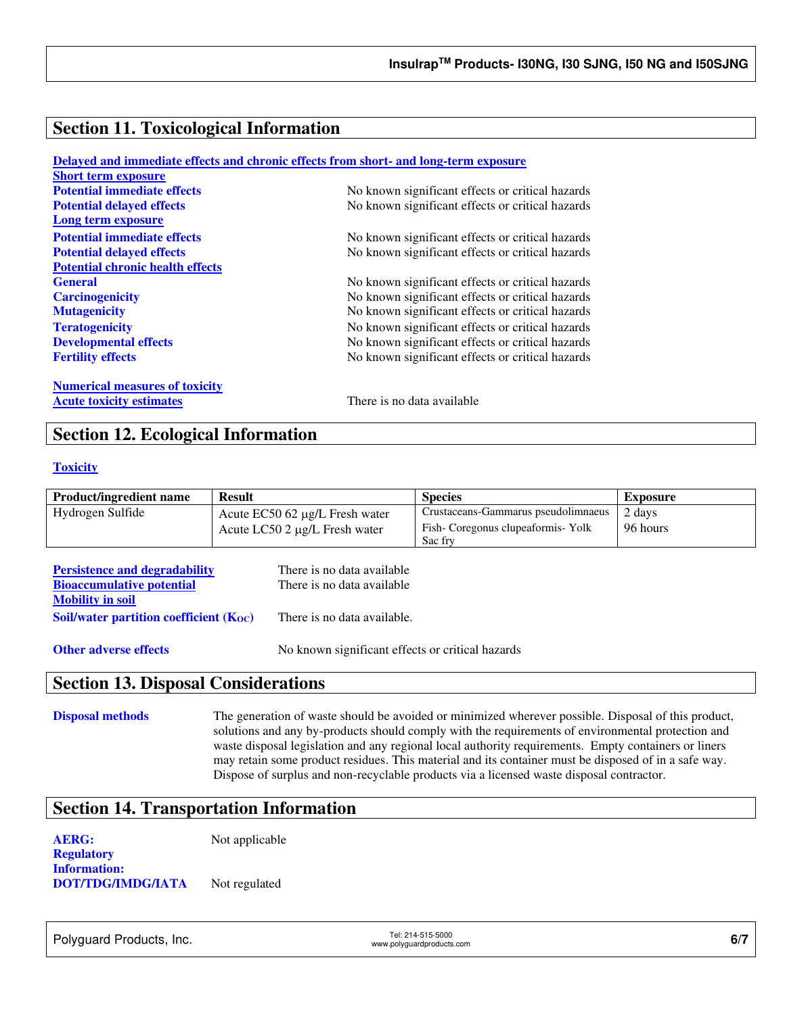# **Section 11. Toxicological Information**

|                                         | Delayed and immediate effects and chronic effects from short- and long-term exposure |
|-----------------------------------------|--------------------------------------------------------------------------------------|
| <b>Short term exposure</b>              |                                                                                      |
| <b>Potential immediate effects</b>      | No known significant effects or critical hazards                                     |
| <b>Potential delayed effects</b>        | No known significant effects or critical hazards                                     |
| Long term exposure                      |                                                                                      |
| <b>Potential immediate effects</b>      | No known significant effects or critical hazards                                     |
| <b>Potential delayed effects</b>        | No known significant effects or critical hazards                                     |
| <b>Potential chronic health effects</b> |                                                                                      |
| <b>General</b>                          | No known significant effects or critical hazards                                     |
| <b>Carcinogenicity</b>                  | No known significant effects or critical hazards                                     |
| <b>Mutagenicity</b>                     | No known significant effects or critical hazards                                     |
| <b>Teratogenicity</b>                   | No known significant effects or critical hazards                                     |
| <b>Developmental effects</b>            | No known significant effects or critical hazards                                     |
| <b>Fertility effects</b>                | No known significant effects or critical hazards                                     |
| <b>Numerical measures of toxicity</b>   |                                                                                      |
| <b>Acute toxicity estimates</b>         | There is no data available                                                           |

# **Section 12. Ecological Information**

### **Toxicity**

| <b>Product/ingredient name</b> | <b>Result</b>                         | <b>Species</b>                      | <b>Exposure</b> |
|--------------------------------|---------------------------------------|-------------------------------------|-----------------|
| Hydrogen Sulfide               | Acute $EC50$ 62 $\mu$ g/L Fresh water | Crustaceans-Gammarus pseudolimnaeus | 2 days          |
|                                | Acute LC50 2 μg/L Fresh water         | Fish-Coregonus clupeaformis-Yolk    | 96 hours        |
|                                |                                       | Sac fry                             |                 |

| <b>Persistence and degradability</b>        | There is no data available  |
|---------------------------------------------|-----------------------------|
| <b>Bioaccumulative potential</b>            | There is no data available  |
| <b>Mobility in soil</b>                     |                             |
| Soil/water partition coefficient $(K_{OC})$ | There is no data available. |
|                                             |                             |

**Other adverse effects** No known significant effects or critical hazards

## **Section 13. Disposal Considerations**

**Disposal methods** The generation of waste should be avoided or minimized wherever possible. Disposal of this product, solutions and any by-products should comply with the requirements of environmental protection and waste disposal legislation and any regional local authority requirements. Empty containers or liners may retain some product residues. This material and its container must be disposed of in a safe way. Dispose of surplus and non-recyclable products via a licensed waste disposal contractor.

# **Section 14. Transportation Information**

**AERG:** Not applicable **Regulatory Information: DOT/TDG/IMDG/IATA** Not regulated

Polyguard Products, Inc. Tel: 214-515-5000

er: 214-515-5000<br>www.polyguardproducts.com **6/7**